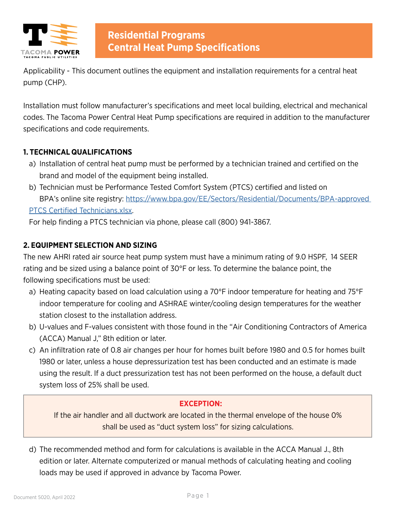

Applicability - This document outlines the equipment and installation requirements for a central heat pump (CHP).

Installation must follow manufacturer's specifications and meet local building, electrical and mechanical codes. The Tacoma Power Central Heat Pump specifications are required in addition to the manufacturer specifications and code requirements.

### **1. TECHNICAL QUALIFICATIONS**

- a) Installation of central heat pump must be performed by a technician trained and certified on the brand and model of the equipment being installed.
- b) Technician must be Performance Tested Comfort System (PTCS) certified and listed on BPA's online site registry: https://www.bpa.gov/EE/Sectors/Residential/Documents/BPA-approved PTCS Certified Technicians.xlsx.

For help finding a PTCS technician via phone, please call (800) 941-3867.

# **2. EQUIPMENT SELECTION AND SIZING**

The new AHRI rated air source heat pump system must have a minimum rating of 9.0 HSPF, 14 SEER rating and be sized using a balance point of 30°F or less. To determine the balance point, the following specifications must be used:

- a) Heating capacity based on load calculation using a 70°F indoor temperature for heating and 75°F indoor temperature for cooling and ASHRAE winter/cooling design temperatures for the weather station closest to the installation address.
- b) U-values and F-values consistent with those found in the "Air Conditioning Contractors of America (ACCA) Manual J," 8th edition or later.
- c) An infiltration rate of 0.8 air changes per hour for homes built before 1980 and 0.5 for homes built 1980 or later, unless a house depressurization test has been conducted and an estimate is made using the result. If a duct pressurization test has not been performed on the house, a default duct system loss of 25% shall be used.

### **EXCEPTION:**

If the air handler and all ductwork are located in the thermal envelope of the house 0% shall be used as "duct system loss" for sizing calculations.

d) The recommended method and form for calculations is available in the ACCA Manual J., 8th edition or later. Alternate computerized or manual methods of calculating heating and cooling loads may be used if approved in advance by Tacoma Power.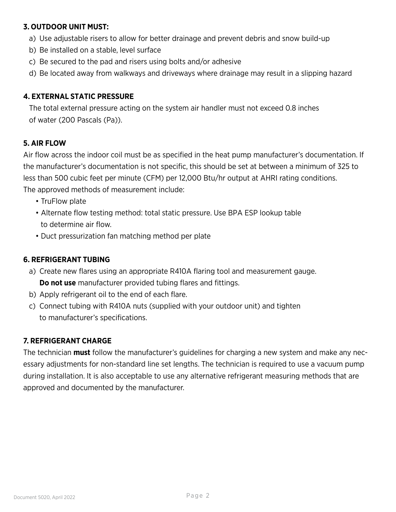# **3. OUTDOOR UNIT MUST:**

- a) Use adjustable risers to allow for better drainage and prevent debris and snow build-up
- b) Be installed on a stable, level surface
- c) Be secured to the pad and risers using bolts and/or adhesive
- d) Be located away from walkways and driveways where drainage may result in a slipping hazard

# **4. EXTERNAL STATIC PRESSURE**

The total external pressure acting on the system air handler must not exceed 0.8 inches of water (200 Pascals (Pa)).

# **5. AIR FLOW**

Air flow across the indoor coil must be as specified in the heat pump manufacturer's documentation. If the manufacturer's documentation is not specific, this should be set at between a minimum of 325 to less than 500 cubic feet per minute (CFM) per 12,000 Btu/hr output at AHRI rating conditions. The approved methods of measurement include:

- TruFlow plate
- Alternate flow testing method: total static pressure. Use BPA ESP lookup table to determine air flow.
- Duct pressurization fan matching method per plate

## **6. REFRIGERANT TUBING**

- a) Create new flares using an appropriate R410A flaring tool and measurement gauge. **Do not use** manufacturer provided tubing flares and fittings.
- b) Apply refrigerant oil to the end of each flare.
- c) Connect tubing with R410A nuts (supplied with your outdoor unit) and tighten to manufacturer's specifications.

### **7. REFRIGERANT CHARGE**

The technician **must** follow the manufacturer's guidelines for charging a new system and make any necessary adjustments for non-standard line set lengths. The technician is required to use a vacuum pump during installation. It is also acceptable to use any alternative refrigerant measuring methods that are approved and documented by the manufacturer.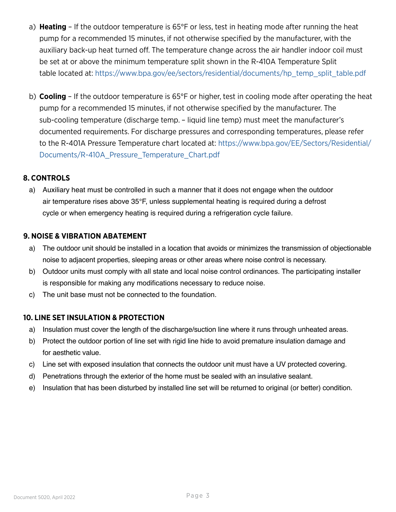- a) **Heating** If the outdoor temperature is 65°F or less, test in heating mode after running the heat pump for a recommended 15 minutes, if not otherwise specified by the manufacturer, with the auxiliary back-up heat turned off. The temperature change across the air handler indoor coil must be set at or above the minimum temperature split shown in the R-410A Temperature Split table located at: https://www.bpa.gov/ee/sectors/residential/documents/hp\_temp\_split\_table.pdf
- b) **Cooling** If the outdoor temperature is 65°F or higher, test in cooling mode after operating the heat pump for a recommended 15 minutes, if not otherwise specified by the manufacturer. The sub-cooling temperature (discharge temp. – liquid line temp) must meet the manufacturer's documented requirements. For discharge pressures and corresponding temperatures, please refer to the R-401A Pressure Temperature chart located at: https://www.bpa.gov/EE/Sectors/Residential/ Documents/R-410A\_Pressure\_Temperature\_Chart.pdf

### **8. CONTROLS**

a) Auxiliary heat must be controlled in such a manner that it does not engage when the outdoor air temperature rises above 35°F, unless supplemental heating is required during a defrost cycle or when emergency heating is required during a refrigeration cycle failure.

### **9. NOISE & VIBRATION ABATEMENT**

- a) The outdoor unit should be installed in a location that avoids or minimizes the transmission of objectionable noise to adjacent properties, sleeping areas or other areas where noise control is necessary.
- b) Outdoor units must comply with all state and local noise control ordinances. The participating installer is responsible for making any modifications necessary to reduce noise.
- c) The unit base must not be connected to the foundation.

### **10. LINE SET INSULATION & PROTECTION**

- a) Insulation must cover the length of the discharge/suction line where it runs through unheated areas.
- b) Protect the outdoor portion of line set with rigid line hide to avoid premature insulation damage and for aesthetic value.
- c) Line set with exposed insulation that connects the outdoor unit must have a UV protected covering.
- d) Penetrations through the exterior of the home must be sealed with an insulative sealant.
- e) Insulation that has been disturbed by installed line set will be returned to original (or better) condition.